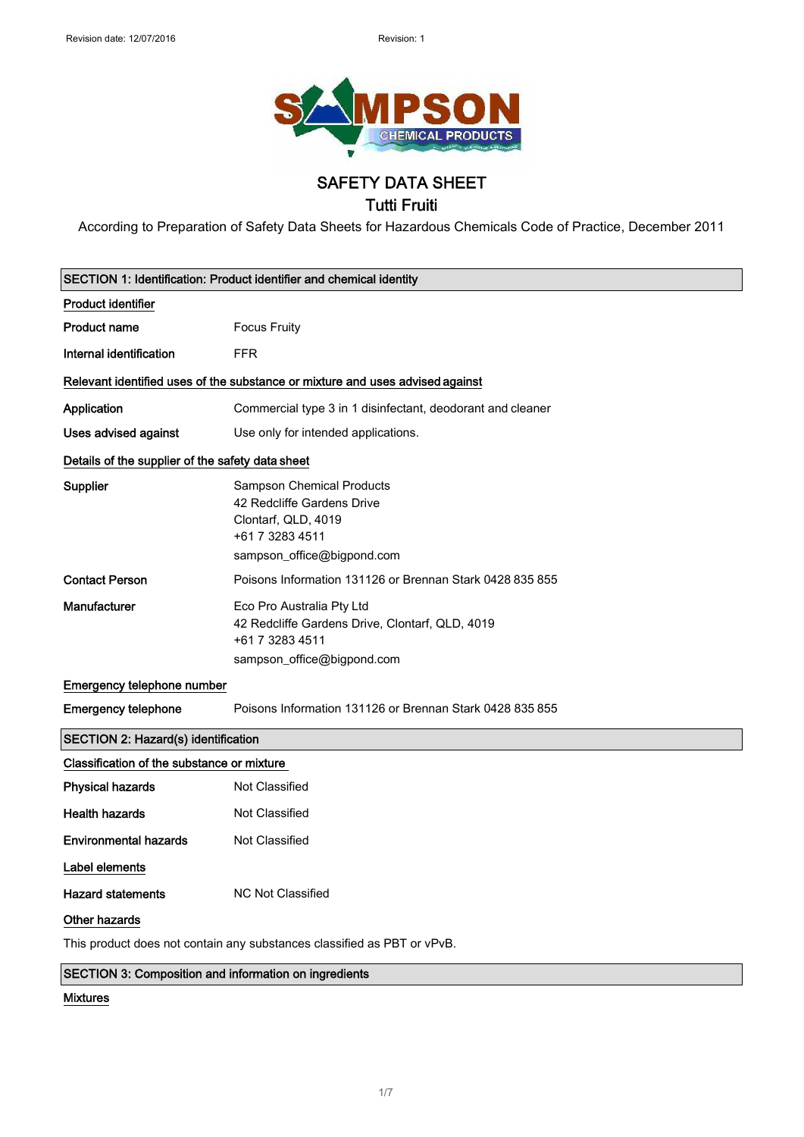

### SAFETY DATA SHEET Tutti Fruiti

According to Preparation of Safety Data Sheets for Hazardous Chemicals Code of Practice, December 2011

| SECTION 1: Identification: Product identifier and chemical identity           |                                                                                                                                 |
|-------------------------------------------------------------------------------|---------------------------------------------------------------------------------------------------------------------------------|
| <b>Product identifier</b>                                                     |                                                                                                                                 |
| <b>Product name</b>                                                           | <b>Focus Fruity</b>                                                                                                             |
| Internal identification                                                       | <b>FFR</b>                                                                                                                      |
| Relevant identified uses of the substance or mixture and uses advised against |                                                                                                                                 |
| Application                                                                   | Commercial type 3 in 1 disinfectant, deodorant and cleaner                                                                      |
| <b>Uses advised against</b>                                                   | Use only for intended applications.                                                                                             |
| Details of the supplier of the safety data sheet                              |                                                                                                                                 |
| Supplier                                                                      | Sampson Chemical Products<br>42 Redcliffe Gardens Drive<br>Clontarf, QLD, 4019<br>+61 7 3283 4511<br>sampson_office@bigpond.com |
| <b>Contact Person</b>                                                         | Poisons Information 131126 or Brennan Stark 0428 835 855                                                                        |
| Manufacturer                                                                  | Eco Pro Australia Pty Ltd<br>42 Redcliffe Gardens Drive, Clontarf, QLD, 4019<br>+61 7 3283 4511<br>sampson_office@bigpond.com   |
| Emergency telephone number                                                    |                                                                                                                                 |
| <b>Emergency telephone</b>                                                    | Poisons Information 131126 or Brennan Stark 0428 835 855                                                                        |
| <b>SECTION 2: Hazard(s) identification</b>                                    |                                                                                                                                 |
| Classification of the substance or mixture                                    |                                                                                                                                 |
| <b>Physical hazards</b>                                                       | Not Classified                                                                                                                  |
| <b>Health hazards</b>                                                         | Not Classified                                                                                                                  |
| <b>Environmental hazards</b>                                                  | Not Classified                                                                                                                  |
| Label elements                                                                |                                                                                                                                 |
| <b>Hazard statements</b>                                                      | <b>NC Not Classified</b>                                                                                                        |
| Other hazards                                                                 |                                                                                                                                 |
|                                                                               | This product does not contain any substances classified as PBT or vPvB.                                                         |

SECTION 3: Composition and information on ingredients

#### Mixtures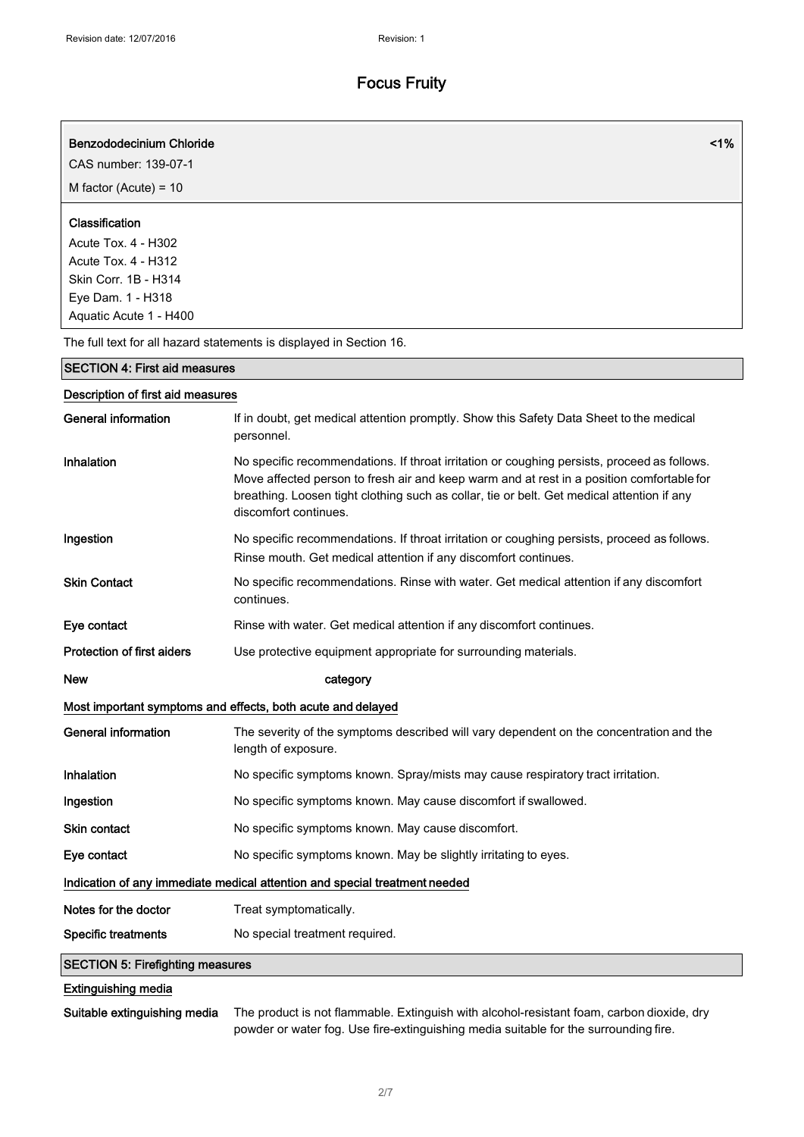| <b>Benzododecinium Chloride</b><br>CAS number: 139-07-1                                                                             | 1%                                                                                                                                                                                                                                                                                                              |
|-------------------------------------------------------------------------------------------------------------------------------------|-----------------------------------------------------------------------------------------------------------------------------------------------------------------------------------------------------------------------------------------------------------------------------------------------------------------|
| M factor (Acute) = $10$                                                                                                             |                                                                                                                                                                                                                                                                                                                 |
|                                                                                                                                     |                                                                                                                                                                                                                                                                                                                 |
| Classification<br>Acute Tox. 4 - H302<br>Acute Tox. 4 - H312<br>Skin Corr. 1B - H314<br>Eye Dam. 1 - H318<br>Aquatic Acute 1 - H400 |                                                                                                                                                                                                                                                                                                                 |
|                                                                                                                                     | The full text for all hazard statements is displayed in Section 16.                                                                                                                                                                                                                                             |
| <b>SECTION 4: First aid measures</b>                                                                                                |                                                                                                                                                                                                                                                                                                                 |
| Description of first aid measures                                                                                                   |                                                                                                                                                                                                                                                                                                                 |
| <b>General information</b>                                                                                                          | If in doubt, get medical attention promptly. Show this Safety Data Sheet to the medical<br>personnel.                                                                                                                                                                                                           |
| Inhalation                                                                                                                          | No specific recommendations. If throat irritation or coughing persists, proceed as follows.<br>Move affected person to fresh air and keep warm and at rest in a position comfortable for<br>breathing. Loosen tight clothing such as collar, tie or belt. Get medical attention if any<br>discomfort continues. |
| Ingestion                                                                                                                           | No specific recommendations. If throat irritation or coughing persists, proceed as follows.<br>Rinse mouth. Get medical attention if any discomfort continues.                                                                                                                                                  |
| <b>Skin Contact</b>                                                                                                                 | No specific recommendations. Rinse with water. Get medical attention if any discomfort<br>continues.                                                                                                                                                                                                            |
| Eye contact                                                                                                                         | Rinse with water. Get medical attention if any discomfort continues.                                                                                                                                                                                                                                            |
| <b>Protection of first aiders</b>                                                                                                   | Use protective equipment appropriate for surrounding materials.                                                                                                                                                                                                                                                 |
| <b>New</b>                                                                                                                          | category                                                                                                                                                                                                                                                                                                        |
|                                                                                                                                     | Most important symptoms and effects, both acute and delayed                                                                                                                                                                                                                                                     |
| <b>General information</b>                                                                                                          | The severity of the symptoms described will vary dependent on the concentration and the<br>length of exposure.                                                                                                                                                                                                  |
| Inhalation                                                                                                                          | No specific symptoms known. Spray/mists may cause respiratory tract irritation.                                                                                                                                                                                                                                 |
| Ingestion                                                                                                                           | No specific symptoms known. May cause discomfort if swallowed.                                                                                                                                                                                                                                                  |
| Skin contact                                                                                                                        | No specific symptoms known. May cause discomfort.                                                                                                                                                                                                                                                               |
| Eye contact                                                                                                                         | No specific symptoms known. May be slightly irritating to eyes.                                                                                                                                                                                                                                                 |
| Indication of any immediate medical attention and special treatment needed                                                          |                                                                                                                                                                                                                                                                                                                 |
| Notes for the doctor                                                                                                                | Treat symptomatically.                                                                                                                                                                                                                                                                                          |
| <b>Specific treatments</b>                                                                                                          | No special treatment required.                                                                                                                                                                                                                                                                                  |
| <b>SECTION 5: Firefighting measures</b>                                                                                             |                                                                                                                                                                                                                                                                                                                 |
| <b>Extinguishing media</b>                                                                                                          |                                                                                                                                                                                                                                                                                                                 |

Suitable extinguishing media The product is not flammable. Extinguish with alcohol-resistant foam, carbon dioxide, dry powder or water fog. Use fire-extinguishing media suitable for the surrounding fire.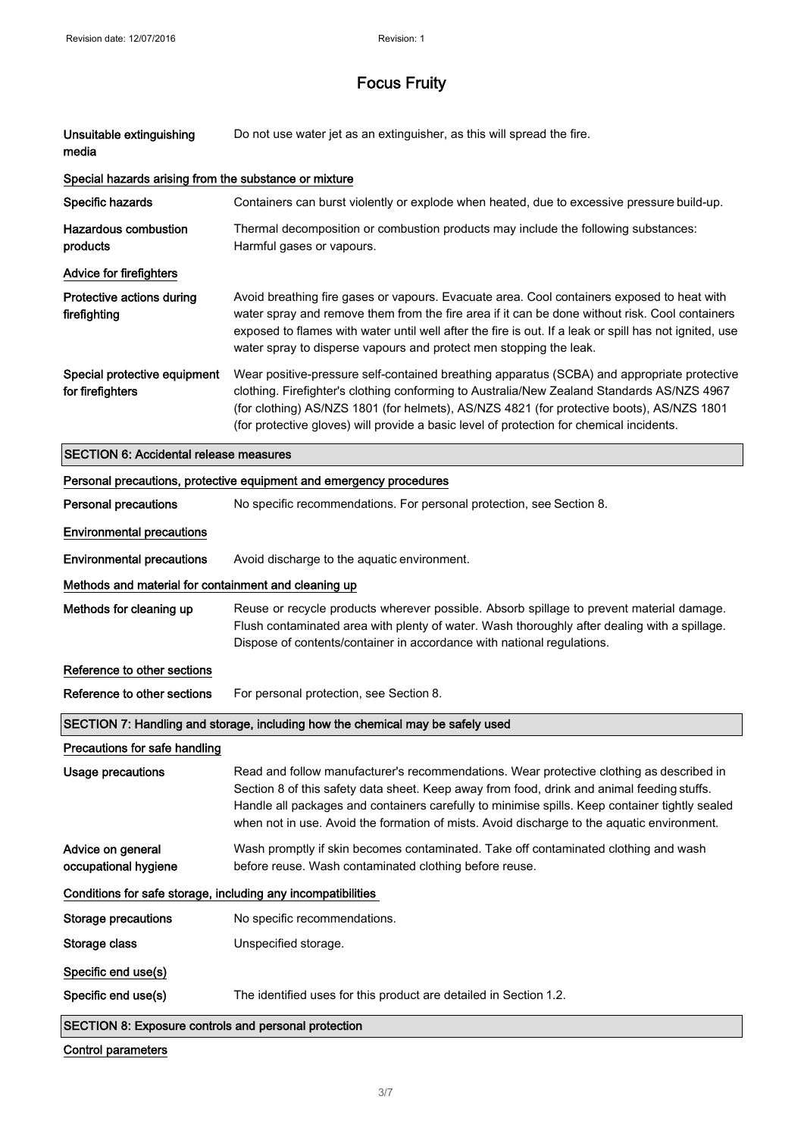| Unsuitable extinguishing<br>media                            | Do not use water jet as an extinguisher, as this will spread the fire.                                                                                                                                                                                                                                                                                                                 |
|--------------------------------------------------------------|----------------------------------------------------------------------------------------------------------------------------------------------------------------------------------------------------------------------------------------------------------------------------------------------------------------------------------------------------------------------------------------|
| Special hazards arising from the substance or mixture        |                                                                                                                                                                                                                                                                                                                                                                                        |
| Specific hazards                                             | Containers can burst violently or explode when heated, due to excessive pressure build-up.                                                                                                                                                                                                                                                                                             |
| <b>Hazardous combustion</b><br>products                      | Thermal decomposition or combustion products may include the following substances:<br>Harmful gases or vapours.                                                                                                                                                                                                                                                                        |
| Advice for firefighters                                      |                                                                                                                                                                                                                                                                                                                                                                                        |
| Protective actions during<br>firefighting                    | Avoid breathing fire gases or vapours. Evacuate area. Cool containers exposed to heat with<br>water spray and remove them from the fire area if it can be done without risk. Cool containers<br>exposed to flames with water until well after the fire is out. If a leak or spill has not ignited, use<br>water spray to disperse vapours and protect men stopping the leak.           |
| Special protective equipment<br>for firefighters             | Wear positive-pressure self-contained breathing apparatus (SCBA) and appropriate protective<br>clothing. Firefighter's clothing conforming to Australia/New Zealand Standards AS/NZS 4967<br>(for clothing) AS/NZS 1801 (for helmets), AS/NZS 4821 (for protective boots), AS/NZS 1801<br>(for protective gloves) will provide a basic level of protection for chemical incidents.     |
| <b>SECTION 6: Accidental release measures</b>                |                                                                                                                                                                                                                                                                                                                                                                                        |
|                                                              | Personal precautions, protective equipment and emergency procedures                                                                                                                                                                                                                                                                                                                    |
| <b>Personal precautions</b>                                  | No specific recommendations. For personal protection, see Section 8.                                                                                                                                                                                                                                                                                                                   |
| <b>Environmental precautions</b>                             |                                                                                                                                                                                                                                                                                                                                                                                        |
| <b>Environmental precautions</b>                             | Avoid discharge to the aquatic environment.                                                                                                                                                                                                                                                                                                                                            |
| Methods and material for containment and cleaning up         |                                                                                                                                                                                                                                                                                                                                                                                        |
| Methods for cleaning up                                      | Reuse or recycle products wherever possible. Absorb spillage to prevent material damage.<br>Flush contaminated area with plenty of water. Wash thoroughly after dealing with a spillage.<br>Dispose of contents/container in accordance with national regulations.                                                                                                                     |
| Reference to other sections                                  |                                                                                                                                                                                                                                                                                                                                                                                        |
| Reference to other sections                                  | For personal protection, see Section 8.                                                                                                                                                                                                                                                                                                                                                |
|                                                              | SECTION 7: Handling and storage, including how the chemical may be safely used                                                                                                                                                                                                                                                                                                         |
| Precautions for safe handling                                |                                                                                                                                                                                                                                                                                                                                                                                        |
| <b>Usage precautions</b>                                     | Read and follow manufacturer's recommendations. Wear protective clothing as described in<br>Section 8 of this safety data sheet. Keep away from food, drink and animal feeding stuffs.<br>Handle all packages and containers carefully to minimise spills. Keep container tightly sealed<br>when not in use. Avoid the formation of mists. Avoid discharge to the aquatic environment. |
| Advice on general<br>occupational hygiene                    | Wash promptly if skin becomes contaminated. Take off contaminated clothing and wash<br>before reuse. Wash contaminated clothing before reuse.                                                                                                                                                                                                                                          |
| Conditions for safe storage, including any incompatibilities |                                                                                                                                                                                                                                                                                                                                                                                        |
| <b>Storage precautions</b>                                   | No specific recommendations.                                                                                                                                                                                                                                                                                                                                                           |
| Storage class                                                | Unspecified storage.                                                                                                                                                                                                                                                                                                                                                                   |
| Specific end use(s)                                          |                                                                                                                                                                                                                                                                                                                                                                                        |
| Specific end use(s)                                          | The identified uses for this product are detailed in Section 1.2.                                                                                                                                                                                                                                                                                                                      |
| SECTION 8: Exposure controls and personal protection         |                                                                                                                                                                                                                                                                                                                                                                                        |

### Control parameters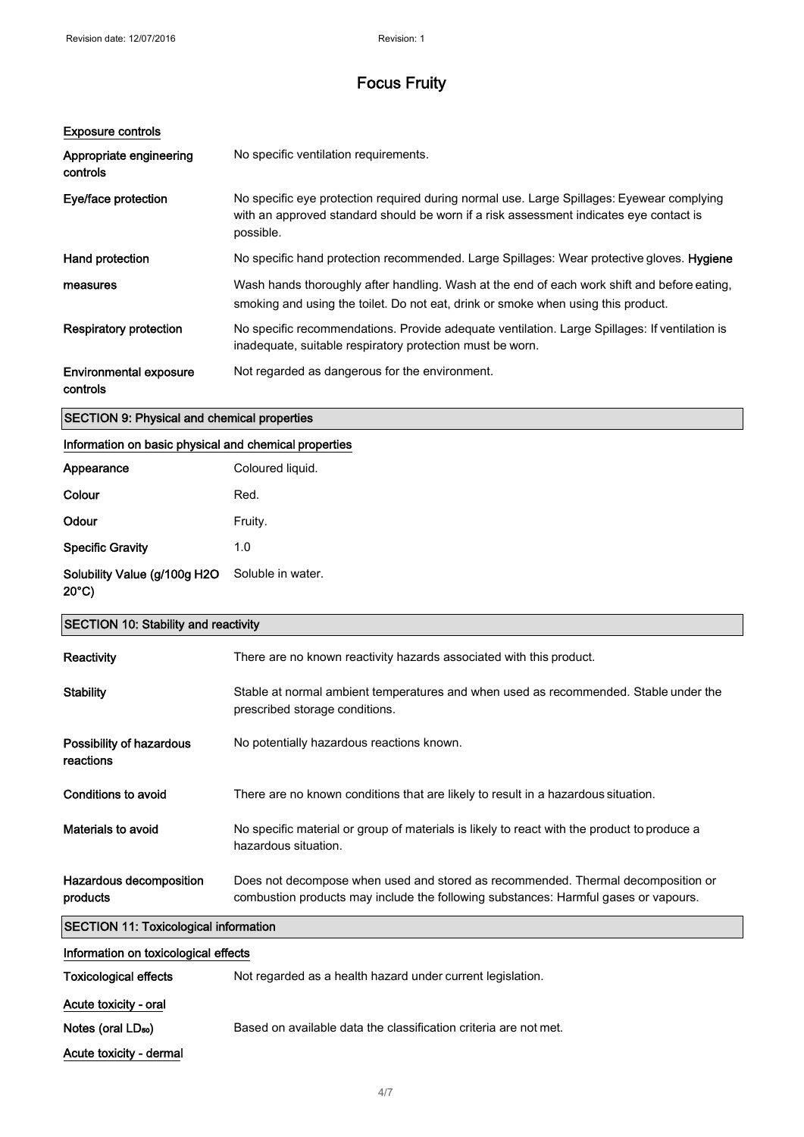| <b>Exposure controls</b>                  |                                                                                                                                                                                                  |
|-------------------------------------------|--------------------------------------------------------------------------------------------------------------------------------------------------------------------------------------------------|
| Appropriate engineering<br>controls       | No specific ventilation requirements.                                                                                                                                                            |
| Eye/face protection                       | No specific eye protection required during normal use. Large Spillages: Eyewear complying<br>with an approved standard should be worn if a risk assessment indicates eye contact is<br>possible. |
| Hand protection                           | No specific hand protection recommended. Large Spillages: Wear protective gloves. Hygiene                                                                                                        |
| measures                                  | Wash hands thoroughly after handling. Wash at the end of each work shift and before eating,<br>smoking and using the toilet. Do not eat, drink or smoke when using this product.                 |
| <b>Respiratory protection</b>             | No specific recommendations. Provide adequate ventilation. Large Spillages: If ventilation is<br>inadequate, suitable respiratory protection must be worn.                                       |
| <b>Environmental exposure</b><br>controls | Not regarded as dangerous for the environment.                                                                                                                                                   |

### SECTION 9: Physical and chemical properties

### Information on basic physical and chemical properties

| Appearance                                      | Coloured liquid.  |
|-------------------------------------------------|-------------------|
| Colour                                          | Red.              |
| Odour                                           | Fruity.           |
| <b>Specific Gravity</b>                         | 1.0               |
| Solubility Value (g/100g H2O<br>$20^{\circ}$ C) | Soluble in water. |

| <b>SECTION 10: Stability and reactivity</b>  |                                                                                                                                                                         |
|----------------------------------------------|-------------------------------------------------------------------------------------------------------------------------------------------------------------------------|
| Reactivity                                   | There are no known reactivity hazards associated with this product.                                                                                                     |
| <b>Stability</b>                             | Stable at normal ambient temperatures and when used as recommended. Stable under the<br>prescribed storage conditions.                                                  |
| Possibility of hazardous<br>reactions        | No potentially hazardous reactions known.                                                                                                                               |
| Conditions to avoid                          | There are no known conditions that are likely to result in a hazardous situation.                                                                                       |
| Materials to avoid                           | No specific material or group of materials is likely to react with the product to produce a<br>hazardous situation.                                                     |
| Hazardous decomposition<br>products          | Does not decompose when used and stored as recommended. Thermal decomposition or<br>combustion products may include the following substances: Harmful gases or vapours. |
| <b>SECTION 11: Toxicological information</b> |                                                                                                                                                                         |

| Information on toxicological effects |                                                                  |
|--------------------------------------|------------------------------------------------------------------|
| <b>Toxicological effects</b>         | Not regarded as a health hazard under current legislation.       |
| Acute toxicity - oral                |                                                                  |
| Notes (oral LD <sub>50</sub> )       | Based on available data the classification criteria are not met. |
| Acute toxicity - dermal              |                                                                  |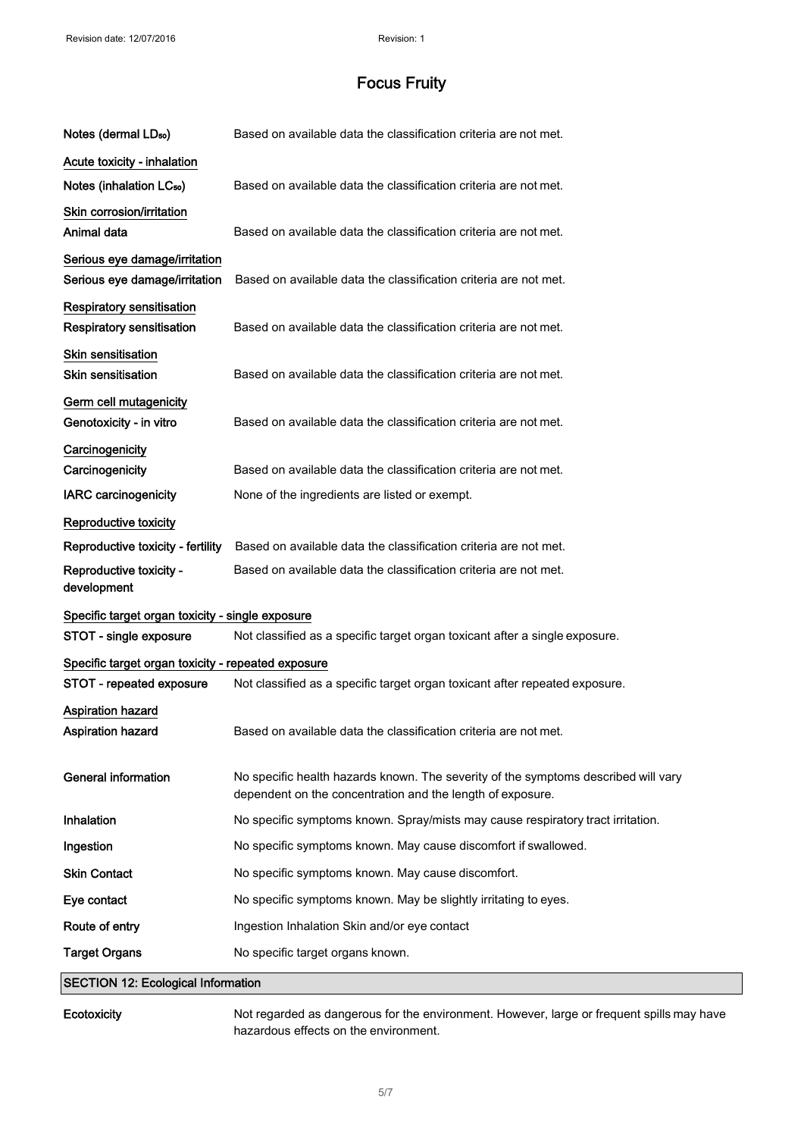| Notes (dermal LD <sub>50</sub> )                               | Based on available data the classification criteria are not met.                                                                                 |
|----------------------------------------------------------------|--------------------------------------------------------------------------------------------------------------------------------------------------|
| Acute toxicity - inhalation                                    |                                                                                                                                                  |
| Notes (inhalation LC <sub>50</sub> )                           | Based on available data the classification criteria are not met.                                                                                 |
| Skin corrosion/irritation<br>Animal data                       | Based on available data the classification criteria are not met.                                                                                 |
| Serious eye damage/irritation<br>Serious eye damage/irritation | Based on available data the classification criteria are not met.                                                                                 |
| <b>Respiratory sensitisation</b><br>Respiratory sensitisation  | Based on available data the classification criteria are not met.                                                                                 |
| Skin sensitisation<br><b>Skin sensitisation</b>                | Based on available data the classification criteria are not met.                                                                                 |
| Germ cell mutagenicity<br>Genotoxicity - in vitro              | Based on available data the classification criteria are not met.                                                                                 |
| Carcinogenicity<br>Carcinogenicity                             | Based on available data the classification criteria are not met.                                                                                 |
| <b>IARC carcinogenicity</b>                                    | None of the ingredients are listed or exempt.                                                                                                    |
| Reproductive toxicity                                          |                                                                                                                                                  |
| Reproductive toxicity - fertility                              | Based on available data the classification criteria are not met.                                                                                 |
| Reproductive toxicity -<br>development                         | Based on available data the classification criteria are not met.                                                                                 |
| Specific target organ toxicity - single exposure               |                                                                                                                                                  |
| STOT - single exposure                                         | Not classified as a specific target organ toxicant after a single exposure.                                                                      |
| Specific target organ toxicity - repeated exposure             |                                                                                                                                                  |
| STOT - repeated exposure                                       | Not classified as a specific target organ toxicant after repeated exposure.                                                                      |
| Aspiration hazard<br>Aspiration nazard                         | Based on available data the classification criteria are not met.                                                                                 |
| <b>General information</b>                                     | No specific health hazards known. The severity of the symptoms described will vary<br>dependent on the concentration and the length of exposure. |
| Inhalation                                                     | No specific symptoms known. Spray/mists may cause respiratory tract irritation.                                                                  |
| Ingestion                                                      | No specific symptoms known. May cause discomfort if swallowed.                                                                                   |
| <b>Skin Contact</b>                                            | No specific symptoms known. May cause discomfort.                                                                                                |
| Eye contact                                                    | No specific symptoms known. May be slightly irritating to eyes.                                                                                  |
| Route of entry                                                 | Ingestion Inhalation Skin and/or eye contact                                                                                                     |
| <b>Target Organs</b>                                           | No specific target organs known.                                                                                                                 |
| <b>SECTION 12: Ecological Information</b>                      |                                                                                                                                                  |

Ecotoxicity Not regarded as dangerous for the environment. However, large or frequent spills may have hazardous effects on the environment.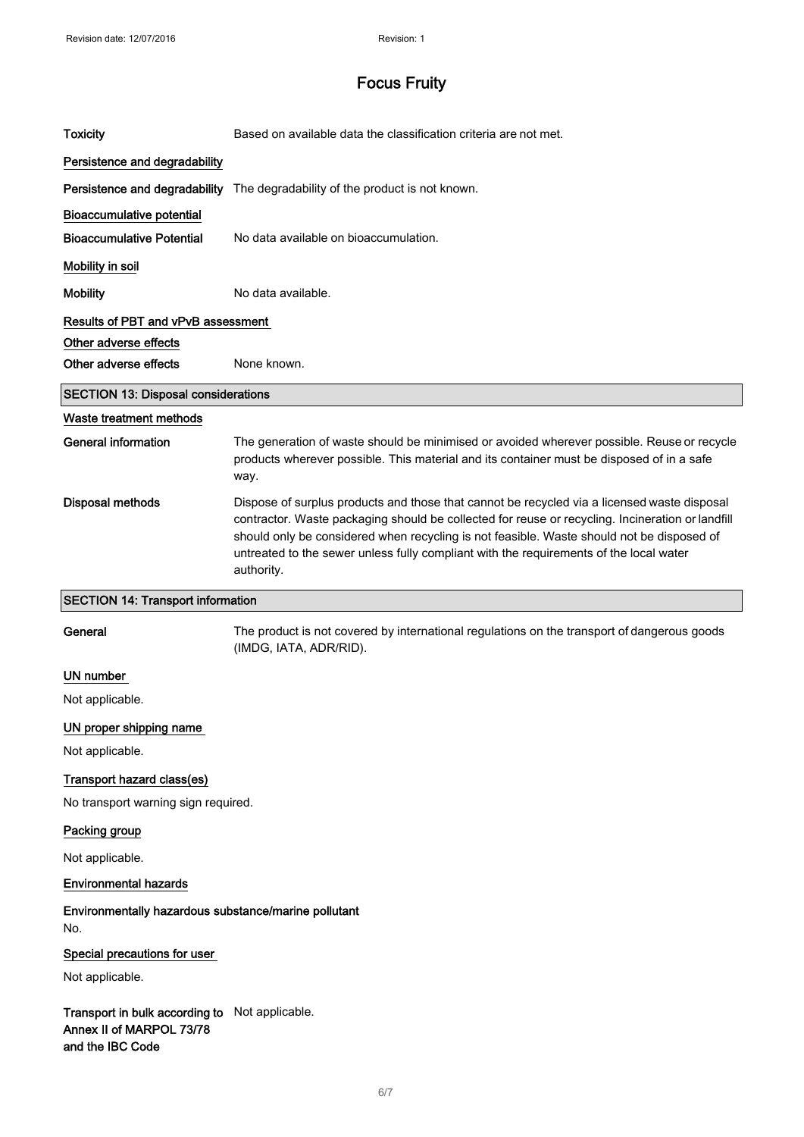| <b>Toxicity</b>                                             | Based on available data the classification criteria are not met.                                                                                                                                                                                                                                                                                                                                     |
|-------------------------------------------------------------|------------------------------------------------------------------------------------------------------------------------------------------------------------------------------------------------------------------------------------------------------------------------------------------------------------------------------------------------------------------------------------------------------|
| Persistence and degradability                               |                                                                                                                                                                                                                                                                                                                                                                                                      |
|                                                             | Persistence and degradability The degradability of the product is not known.                                                                                                                                                                                                                                                                                                                         |
| <b>Bioaccumulative potential</b>                            |                                                                                                                                                                                                                                                                                                                                                                                                      |
| <b>Bioaccumulative Potential</b>                            | No data available on bioaccumulation.                                                                                                                                                                                                                                                                                                                                                                |
| Mobility in soil                                            |                                                                                                                                                                                                                                                                                                                                                                                                      |
| <b>Mobility</b>                                             | No data available.                                                                                                                                                                                                                                                                                                                                                                                   |
| Results of PBT and vPvB assessment                          |                                                                                                                                                                                                                                                                                                                                                                                                      |
| Other adverse effects                                       |                                                                                                                                                                                                                                                                                                                                                                                                      |
| Other adverse effects                                       | None known.                                                                                                                                                                                                                                                                                                                                                                                          |
| <b>SECTION 13: Disposal considerations</b>                  |                                                                                                                                                                                                                                                                                                                                                                                                      |
| Waste treatment methods                                     |                                                                                                                                                                                                                                                                                                                                                                                                      |
| <b>General information</b>                                  | The generation of waste should be minimised or avoided wherever possible. Reuse or recycle<br>products wherever possible. This material and its container must be disposed of in a safe<br>way.                                                                                                                                                                                                      |
| <b>Disposal methods</b>                                     | Dispose of surplus products and those that cannot be recycled via a licensed waste disposal<br>contractor. Waste packaging should be collected for reuse or recycling. Incineration or landfill<br>should only be considered when recycling is not feasible. Waste should not be disposed of<br>untreated to the sewer unless fully compliant with the requirements of the local water<br>authority. |
|                                                             |                                                                                                                                                                                                                                                                                                                                                                                                      |
| <b>SECTION 14: Transport information</b>                    |                                                                                                                                                                                                                                                                                                                                                                                                      |
| General                                                     | The product is not covered by international regulations on the transport of dangerous goods<br>(IMDG, IATA, ADR/RID).                                                                                                                                                                                                                                                                                |
| UN number                                                   |                                                                                                                                                                                                                                                                                                                                                                                                      |
| Not applicable.                                             |                                                                                                                                                                                                                                                                                                                                                                                                      |
| UN proper shipping name                                     |                                                                                                                                                                                                                                                                                                                                                                                                      |
| Not applicable.                                             |                                                                                                                                                                                                                                                                                                                                                                                                      |
| Transport hazard class(es)                                  |                                                                                                                                                                                                                                                                                                                                                                                                      |
| No transport warning sign required.                         |                                                                                                                                                                                                                                                                                                                                                                                                      |
| Packing group                                               |                                                                                                                                                                                                                                                                                                                                                                                                      |
| Not applicable.                                             |                                                                                                                                                                                                                                                                                                                                                                                                      |
| <b>Environmental hazards</b>                                |                                                                                                                                                                                                                                                                                                                                                                                                      |
| Environmentally hazardous substance/marine pollutant<br>No. |                                                                                                                                                                                                                                                                                                                                                                                                      |
| Special precautions for user                                |                                                                                                                                                                                                                                                                                                                                                                                                      |
| Not applicable.                                             |                                                                                                                                                                                                                                                                                                                                                                                                      |